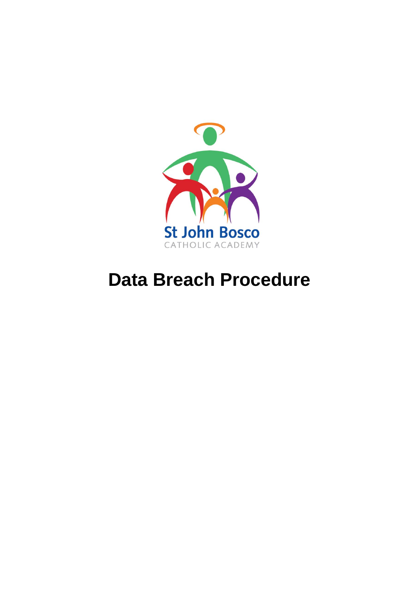

# **Data Breach Procedure**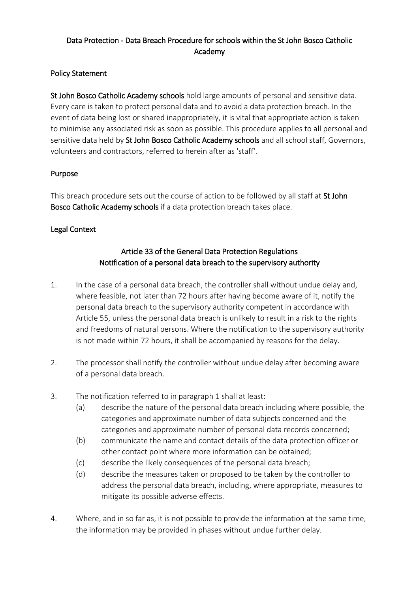## Data Protection - Data Breach Procedure for schools within the St John Bosco Catholic Academy

## Policy Statement

St John Bosco Catholic Academy schools hold large amounts of personal and sensitive data. Every care is taken to protect personal data and to avoid a data protection breach. In the event of data being lost or shared inappropriately, it is vital that appropriate action is taken to minimise any associated risk as soon as possible. This procedure applies to all personal and sensitive data held by St John Bosco Catholic Academy schools and all school staff, Governors, volunteers and contractors, referred to herein after as 'staff'.

## Purpose

This breach procedure sets out the course of action to be followed by all staff at St John Bosco Catholic Academy schools if a data protection breach takes place.

## Legal Context

# Article 33 of the General Data Protection Regulations Notification of a personal data breach to the supervisory authority

- 1. In the case of a personal data breach, the controller shall without undue delay and, where feasible, not later than 72 hours after having become aware of it, notify the personal data breach to the supervisory authority competent in accordance with Article 55, unless the personal data breach is unlikely to result in a risk to the rights and freedoms of natural persons. Where the notification to the supervisory authority is not made within 72 hours, it shall be accompanied by reasons for the delay.
- 2. The processor shall notify the controller without undue delay after becoming aware of a personal data breach.
- 3. The notification referred to in paragraph 1 shall at least:
	- (a) describe the nature of the personal data breach including where possible, the categories and approximate number of data subjects concerned and the categories and approximate number of personal data records concerned;
	- (b) communicate the name and contact details of the data protection officer or other contact point where more information can be obtained;
	- (c) describe the likely consequences of the personal data breach;
	- (d) describe the measures taken or proposed to be taken by the controller to address the personal data breach, including, where appropriate, measures to mitigate its possible adverse effects.
- 4. Where, and in so far as, it is not possible to provide the information at the same time, the information may be provided in phases without undue further delay.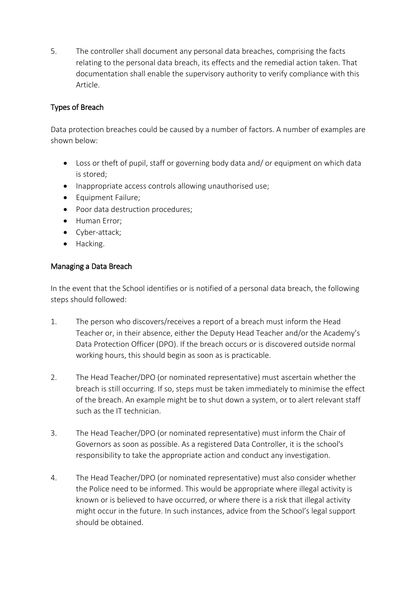5. The controller shall document any personal data breaches, comprising the facts relating to the personal data breach, its effects and the remedial action taken. That documentation shall enable the supervisory authority to verify compliance with this Article.

## Types of Breach

Data protection breaches could be caused by a number of factors. A number of examples are shown below:

- Loss or theft of pupil, staff or governing body data and/ or equipment on which data is stored;
- Inappropriate access controls allowing unauthorised use;
- Equipment Failure;
- Poor data destruction procedures;
- Human Error;
- Cyber-attack;
- Hacking.

#### Managing a Data Breach

In the event that the School identifies or is notified of a personal data breach, the following steps should followed:

- 1. The person who discovers/receives a report of a breach must inform the Head Teacher or, in their absence, either the Deputy Head Teacher and/or the Academy's Data Protection Officer (DPO). If the breach occurs or is discovered outside normal working hours, this should begin as soon as is practicable.
- 2. The Head Teacher/DPO (or nominated representative) must ascertain whether the breach is still occurring. If so, steps must be taken immediately to minimise the effect of the breach. An example might be to shut down a system, or to alert relevant staff such as the IT technician.
- 3. The Head Teacher/DPO (or nominated representative) must inform the Chair of Governors as soon as possible. As a registered Data Controller, it is the school's responsibility to take the appropriate action and conduct any investigation.
- 4. The Head Teacher/DPO (or nominated representative) must also consider whether the Police need to be informed. This would be appropriate where illegal activity is known or is believed to have occurred, or where there is a risk that illegal activity might occur in the future. In such instances, advice from the School's legal support should be obtained.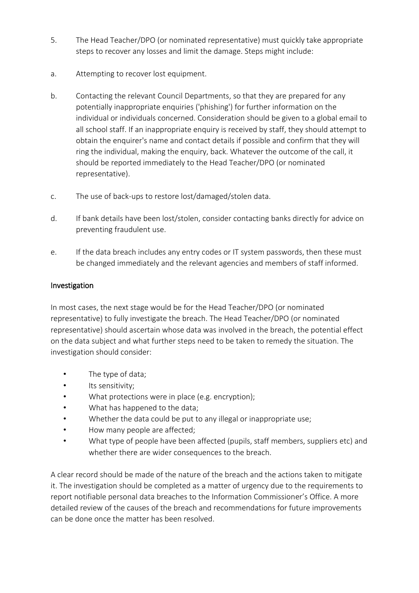- 5. The Head Teacher/DPO (or nominated representative) must quickly take appropriate steps to recover any losses and limit the damage. Steps might include:
- a. Attempting to recover lost equipment.
- b. Contacting the relevant Council Departments, so that they are prepared for any potentially inappropriate enquiries ('phishing') for further information on the individual or individuals concerned. Consideration should be given to a global email to all school staff. If an inappropriate enquiry is received by staff, they should attempt to obtain the enquirer's name and contact details if possible and confirm that they will ring the individual, making the enquiry, back. Whatever the outcome of the call, it should be reported immediately to the Head Teacher/DPO (or nominated representative).
- c. The use of back-ups to restore lost/damaged/stolen data.
- d. If bank details have been lost/stolen, consider contacting banks directly for advice on preventing fraudulent use.
- e. If the data breach includes any entry codes or IT system passwords, then these must be changed immediately and the relevant agencies and members of staff informed.

## Investigation

In most cases, the next stage would be for the Head Teacher/DPO (or nominated representative) to fully investigate the breach. The Head Teacher/DPO (or nominated representative) should ascertain whose data was involved in the breach, the potential effect on the data subject and what further steps need to be taken to remedy the situation. The investigation should consider:

- The type of data;
- Its sensitivity;
- What protections were in place (e.g. encryption);
- What has happened to the data;
- Whether the data could be put to any illegal or inappropriate use;
- How many people are affected;
- What type of people have been affected (pupils, staff members, suppliers etc) and whether there are wider consequences to the breach.

A clear record should be made of the nature of the breach and the actions taken to mitigate it. The investigation should be completed as a matter of urgency due to the requirements to report notifiable personal data breaches to the Information Commissioner's Office. A more detailed review of the causes of the breach and recommendations for future improvements can be done once the matter has been resolved.